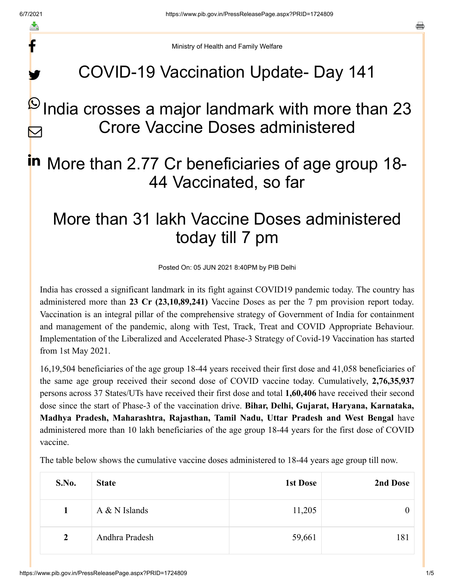f

y.

a

Ministry of Health and Family Welfare

## COVID-19 Vaccination Update- Day 141

#### India crosses a major landmark with more than 23 Crore Vaccine Doses administered  $\boldsymbol{\omega}$  $\blacktriangleright$

# in More than 2.77 Cr beneficiaries of age group 18-44 Vaccinated, so far

## More than 31 lakh Vaccine Doses administered today till 7 pm

Posted On: 05 JUN 2021 8:40PM by PIB Delhi

India has crossed a significant landmark in its fight against COVID19 pandemic today. The country has administered more than **23 Cr (23,10,89,241)** Vaccine Doses as per the 7 pm provision report today. Vaccination is an integral pillar of the comprehensive strategy of Government of India for containment and management of the pandemic, along with Test, Track, Treat and COVID Appropriate Behaviour. Implementation of the Liberalized and Accelerated Phase-3 Strategy of Covid-19 Vaccination has started from 1st May 2021.

16,19,504 beneficiaries of the age group 18-44 years received their first dose and 41,058 beneficiaries of the same age group received their second dose of COVID vaccine today. Cumulatively, **2,76,35,937** persons across 37 States/UTs have received their first dose and total **1,60,406** have received their second dose since the start of Phase-3 of the vaccination drive. **Bihar, Delhi, Gujarat, Haryana, Karnataka, Madhya Pradesh, Maharashtra, Rajasthan, Tamil Nadu, Uttar Pradesh and West Bengal** have administered more than 10 lakh beneficiaries of the age group 18-44 years for the first dose of COVID vaccine.

| S.No.          | <b>State</b>    | 1st Dose | 2nd Dose |
|----------------|-----------------|----------|----------|
|                | $A & N$ Islands | 11,205   | 0        |
| $\overline{2}$ | Andhra Pradesh  | 59,661   | 181      |

The table below shows the cumulative vaccine doses administered to 18-44 years age group till now.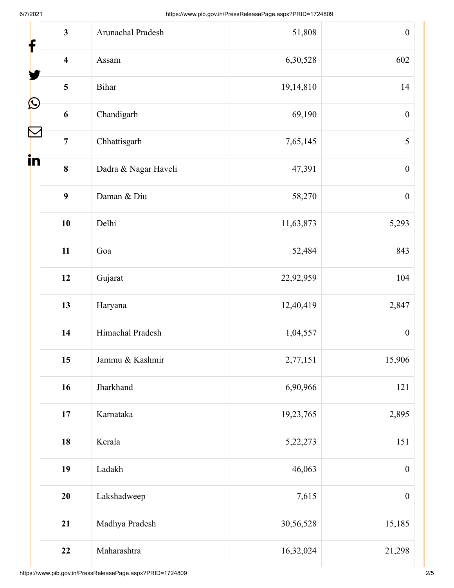| $\overline{\mathbf{3}}$<br>$\mathbf f$ | Arunachal Pradesh    | 51,808    | $\boldsymbol{0}$ |
|----------------------------------------|----------------------|-----------|------------------|
| $\overline{\mathbf{4}}$                | Assam                | 6,30,528  | 602              |
| 5                                      | Bihar                | 19,14,810 | 14               |
| $\mathbf{\Omega}$<br>6                 | Chandigarh           | 69,190    | $\boldsymbol{0}$ |
| $\overline{7}$                         | Chhattisgarh         | 7,65,145  | 5                |
| in<br>8                                | Dadra & Nagar Haveli | 47,391    | $\boldsymbol{0}$ |
| 9                                      | Daman & Diu          | 58,270    | $\boldsymbol{0}$ |
| 10                                     | Delhi                | 11,63,873 | 5,293            |
| 11                                     | Goa                  | 52,484    | 843              |
| 12                                     | Gujarat              | 22,92,959 | 104              |
| 13                                     | Haryana              | 12,40,419 | 2,847            |
| 14                                     | Himachal Pradesh     | 1,04,557  | $\boldsymbol{0}$ |
| 15                                     | Jammu & Kashmir      | 2,77,151  | 15,906           |
| 16                                     | Jharkhand            | 6,90,966  | 121              |
| 17                                     | Karnataka            | 19,23,765 | 2,895            |
| 18                                     | Kerala               | 5,22,273  | 151              |
| 19                                     | Ladakh               | 46,063    | $\boldsymbol{0}$ |
| 20                                     | Lakshadweep          | 7,615     | $\boldsymbol{0}$ |
| 21                                     | Madhya Pradesh       | 30,56,528 | 15,185           |
| 22                                     | Maharashtra          | 16,32,024 | 21,298           |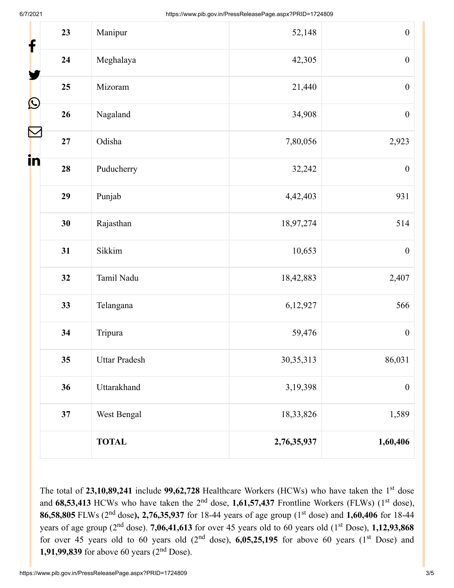| 23<br>f                 | Manipur              | 52,148      | $\boldsymbol{0}$ |
|-------------------------|----------------------|-------------|------------------|
| 24                      | Meghalaya            | 42,305      | $\boldsymbol{0}$ |
| 25                      | Mizoram              | 21,440      | $\boldsymbol{0}$ |
| $\mathbf{\Omega}$<br>26 | Nagaland             | 34,908      | $\boldsymbol{0}$ |
| 27                      | Odisha               | 7,80,056    | 2,923            |
| in<br>28                | Puducherry           | 32,242      | $\boldsymbol{0}$ |
| 29                      | Punjab               | 4,42,403    | 931              |
| 30                      | Rajasthan            | 18,97,274   | 514              |
| 31                      | Sikkim               | 10,653      | $\boldsymbol{0}$ |
| 32                      | Tamil Nadu           | 18,42,883   | 2,407            |
| 33                      | Telangana            | 6,12,927    | 566              |
| 34                      | Tripura              | 59,476      | $\boldsymbol{0}$ |
| 35                      | <b>Uttar Pradesh</b> | 30, 35, 313 | 86,031           |
| 36                      | Uttarakhand          | 3,19,398    | $\boldsymbol{0}$ |
| 37                      | West Bengal          | 18,33,826   | 1,589            |
|                         | <b>TOTAL</b>         | 2,76,35,937 | 1,60,406         |

The total of  $23,10,89,241$  include  $99,62,728$  Healthcare Workers (HCWs) who have taken the 1<sup>st</sup> dose and  $68,53,413$  HCWs who have taken the 2<sup>nd</sup> dose, 1,61,57,437 Frontline Workers (FLWs) (1<sup>st</sup> dose), **86,58,805** FLWs (2<sup>nd</sup> dose), 2,76,35,937 for 18-44 years of age group (1<sup>st</sup> dose) and 1,60,406 for 18-44 years of age group (2<sup>nd</sup> dose). **7,06,41,613** for over 45 years old to 60 years old (1<sup>st</sup> Dose), **1,12,93,868** for over 45 years old to 60 years old  $(2<sup>nd</sup> dose)$ , 6,05,25,195 for above 60 years  $(1<sup>st</sup> Does)$  and **1,91,99,839** for above 60 years  $(2^{nd}$  Dose).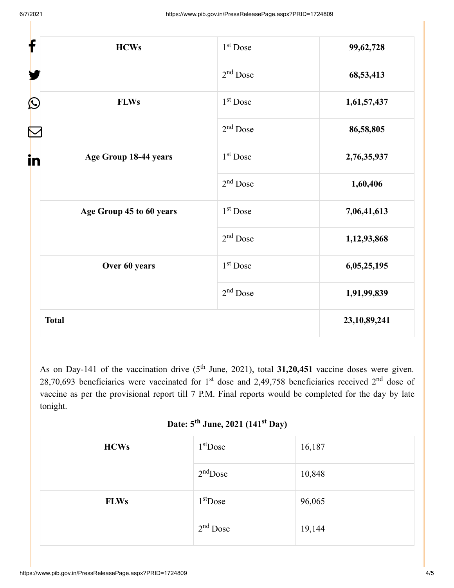| f<br><b>HCWs</b>            | 1 <sup>st</sup> Dose | 99,62,728       |
|-----------------------------|----------------------|-----------------|
|                             | $2nd$ Dose           | 68,53,413       |
| $\bf \Omega$<br><b>FLWs</b> | $1st$ Dose           | 1,61,57,437     |
|                             | $2nd$ Dose           | 86,58,805       |
| Age Group 18-44 years<br>in | 1 <sup>st</sup> Dose | 2,76,35,937     |
|                             | $2nd$ Dose           | 1,60,406        |
| Age Group 45 to 60 years    | 1 <sup>st</sup> Dose | 7,06,41,613     |
|                             | $2nd$ Dose           | 1,12,93,868     |
| Over 60 years               | 1 <sup>st</sup> Dose | 6,05,25,195     |
|                             | $2nd$ Dose           | 1,91,99,839     |
| <b>Total</b>                |                      | 23, 10, 89, 241 |

As on Day-141 of the vaccination drive  $(5<sup>th</sup>$  June, 2021), total 31,20,451 vaccine doses were given. 28,70,693 beneficiaries were vaccinated for 1<sup>st</sup> dose and 2,49,758 beneficiaries received 2<sup>nd</sup> dose of vaccine as per the provisional report till 7 P.M. Final reports would be completed for the day by late tonight.

### Date: 5<sup>th</sup> June, 2021 (141<sup>st</sup> Day)

| <b>HCWs</b> | $1st$ Dose | 16,187 |
|-------------|------------|--------|
|             | $2nd$ Dose | 10,848 |
| <b>FLWs</b> | $1st$ Dose | 96,065 |
|             | $2nd$ Dose | 19,144 |